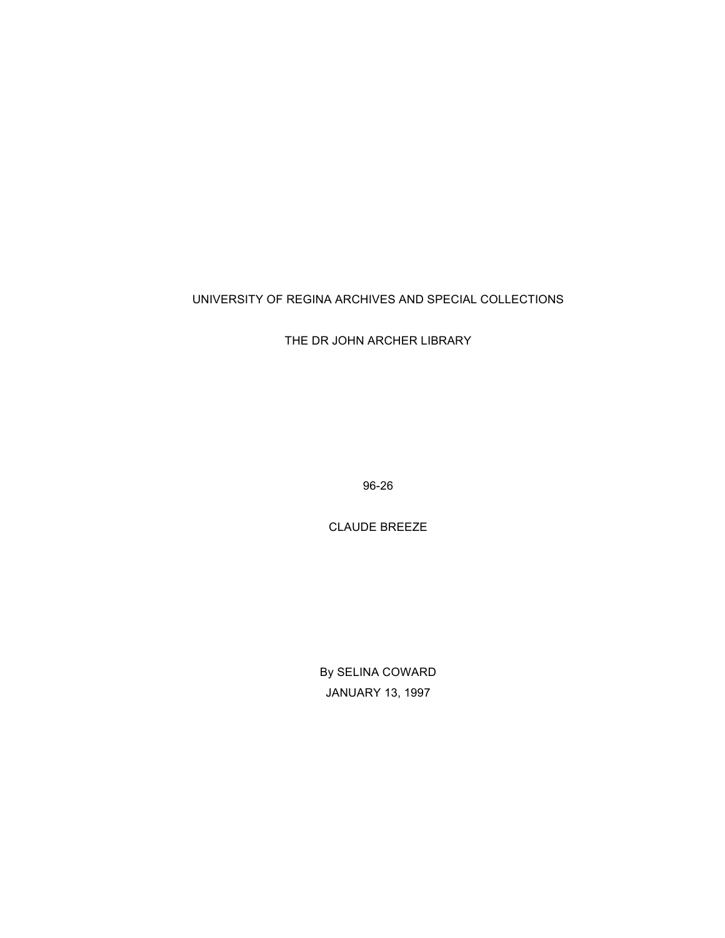# UNIVERSITY OF REGINA ARCHIVES AND SPECIAL COLLECTIONS

THE DR JOHN ARCHER LIBRARY

96-26

CLAUDE BREEZE

By SELINA COWARD JANUARY 13, 1997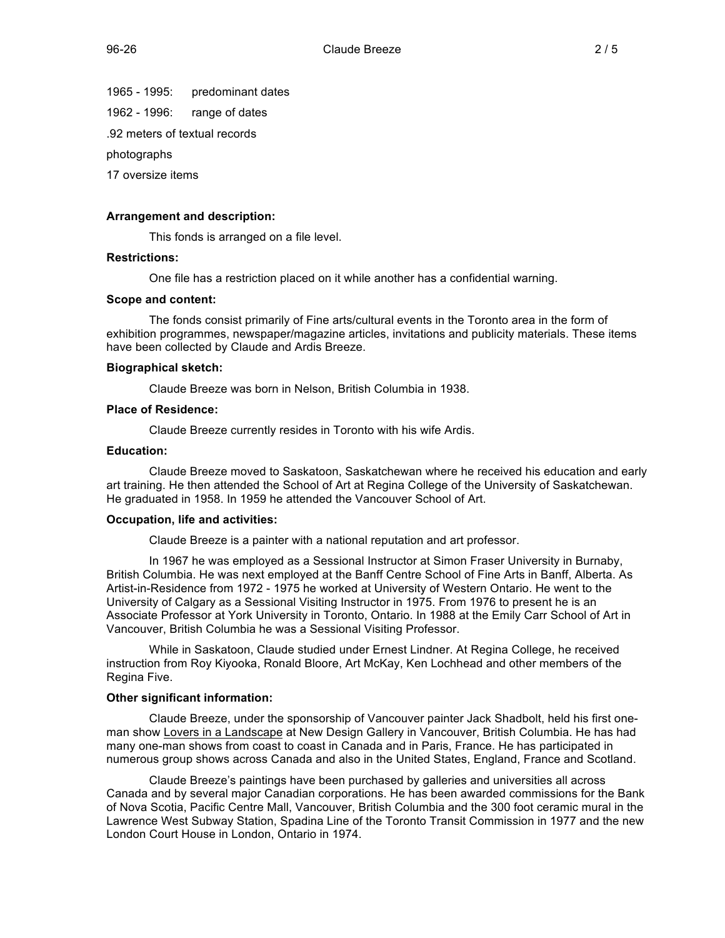1965 - 1995: predominant dates

1962 - 1996: range of dates

.92 meters of textual records

photographs

17 oversize items

## **Arrangement and description:**

This fonds is arranged on a file level.

## **Restrictions:**

One file has a restriction placed on it while another has a confidential warning.

#### **Scope and content:**

The fonds consist primarily of Fine arts/cultural events in the Toronto area in the form of exhibition programmes, newspaper/magazine articles, invitations and publicity materials. These items have been collected by Claude and Ardis Breeze.

#### **Biographical sketch:**

Claude Breeze was born in Nelson, British Columbia in 1938.

#### **Place of Residence:**

Claude Breeze currently resides in Toronto with his wife Ardis.

#### **Education:**

Claude Breeze moved to Saskatoon, Saskatchewan where he received his education and early art training. He then attended the School of Art at Regina College of the University of Saskatchewan. He graduated in 1958. In 1959 he attended the Vancouver School of Art.

#### **Occupation, life and activities:**

Claude Breeze is a painter with a national reputation and art professor.

In 1967 he was employed as a Sessional Instructor at Simon Fraser University in Burnaby, British Columbia. He was next employed at the Banff Centre School of Fine Arts in Banff, Alberta. As Artist-in-Residence from 1972 - 1975 he worked at University of Western Ontario. He went to the University of Calgary as a Sessional Visiting Instructor in 1975. From 1976 to present he is an Associate Professor at York University in Toronto, Ontario. In 1988 at the Emily Carr School of Art in Vancouver, British Columbia he was a Sessional Visiting Professor.

While in Saskatoon, Claude studied under Ernest Lindner. At Regina College, he received instruction from Roy Kiyooka, Ronald Bloore, Art McKay, Ken Lochhead and other members of the Regina Five.

# **Other significant information:**

Claude Breeze, under the sponsorship of Vancouver painter Jack Shadbolt, held his first oneman show Lovers in a Landscape at New Design Gallery in Vancouver, British Columbia. He has had many one-man shows from coast to coast in Canada and in Paris, France. He has participated in numerous group shows across Canada and also in the United States, England, France and Scotland.

Claude Breeze's paintings have been purchased by galleries and universities all across Canada and by several major Canadian corporations. He has been awarded commissions for the Bank of Nova Scotia, Pacific Centre Mall, Vancouver, British Columbia and the 300 foot ceramic mural in the Lawrence West Subway Station, Spadina Line of the Toronto Transit Commission in 1977 and the new London Court House in London, Ontario in 1974.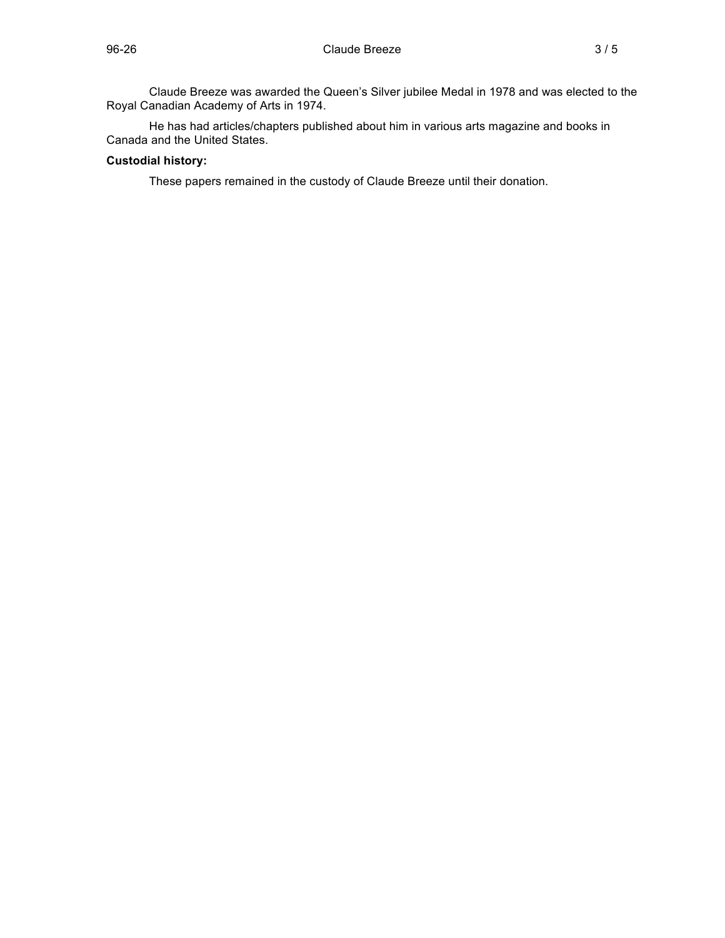He has had articles/chapters published about him in various arts magazine and books in Canada and the United States.

# **Custodial history:**

These papers remained in the custody of Claude Breeze until their donation.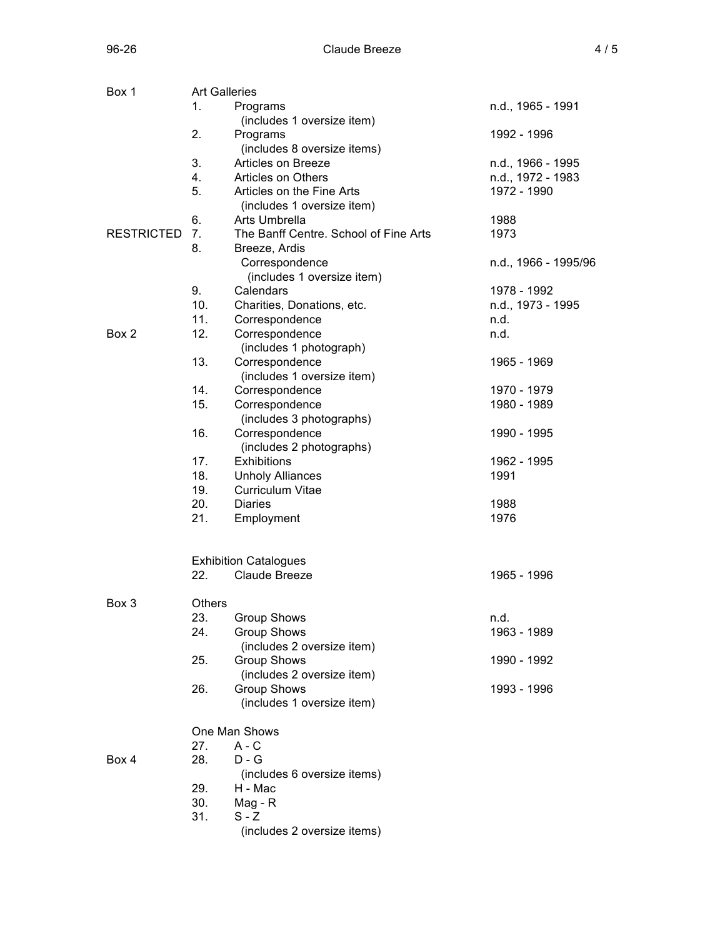| Box 1             | <b>Art Galleries</b> |                                       |                      |  |  |
|-------------------|----------------------|---------------------------------------|----------------------|--|--|
|                   | 1.                   | Programs                              | n.d., 1965 - 1991    |  |  |
|                   |                      | (includes 1 oversize item)            |                      |  |  |
|                   | 2.                   | Programs                              | 1992 - 1996          |  |  |
|                   |                      | (includes 8 oversize items)           |                      |  |  |
|                   | 3.                   | Articles on Breeze                    | n.d., 1966 - 1995    |  |  |
|                   | 4.                   | Articles on Others                    | n.d., 1972 - 1983    |  |  |
|                   | 5.                   | Articles on the Fine Arts             | 1972 - 1990          |  |  |
|                   |                      | (includes 1 oversize item)            |                      |  |  |
|                   | 6.                   | Arts Umbrella                         | 1988                 |  |  |
| <b>RESTRICTED</b> | 7.                   | The Banff Centre. School of Fine Arts | 1973                 |  |  |
|                   | 8.                   | Breeze, Ardis                         |                      |  |  |
|                   |                      | Correspondence                        | n.d., 1966 - 1995/96 |  |  |
|                   |                      | (includes 1 oversize item)            |                      |  |  |
|                   | 9.                   | Calendars                             | 1978 - 1992          |  |  |
|                   | 10.                  | Charities, Donations, etc.            | n.d., 1973 - 1995    |  |  |
|                   | 11.                  |                                       | n.d.                 |  |  |
|                   |                      | Correspondence                        |                      |  |  |
| Box 2             | 12.                  | Correspondence                        | n.d.                 |  |  |
|                   |                      | (includes 1 photograph)               |                      |  |  |
|                   | 13.                  | Correspondence                        | 1965 - 1969          |  |  |
|                   |                      | (includes 1 oversize item)            |                      |  |  |
|                   | 14.                  | Correspondence                        | 1970 - 1979          |  |  |
|                   | 15.                  | Correspondence                        | 1980 - 1989          |  |  |
|                   |                      | (includes 3 photographs)              |                      |  |  |
|                   | 16.                  | Correspondence                        | 1990 - 1995          |  |  |
|                   |                      | (includes 2 photographs)              |                      |  |  |
|                   | 17.                  | Exhibitions                           | 1962 - 1995          |  |  |
|                   | 18.                  | <b>Unholy Alliances</b>               | 1991                 |  |  |
|                   | 19.                  | <b>Curriculum Vitae</b>               |                      |  |  |
|                   | 20.                  | <b>Diaries</b>                        | 1988                 |  |  |
|                   | 21.                  | Employment                            | 1976                 |  |  |
|                   |                      | <b>Exhibition Catalogues</b>          |                      |  |  |
|                   | 22.                  | Claude Breeze                         | 1965 - 1996          |  |  |
|                   |                      |                                       |                      |  |  |
| Box 3             | Others               |                                       |                      |  |  |
|                   | 23.                  | Group Shows                           | n.d.                 |  |  |
|                   | 24.                  | <b>Group Shows</b>                    | 1963 - 1989          |  |  |
|                   |                      | (includes 2 oversize item)            |                      |  |  |
|                   | 25.                  | Group Shows                           | 1990 - 1992          |  |  |
|                   |                      | (includes 2 oversize item)            |                      |  |  |
|                   | 26.                  | <b>Group Shows</b>                    | 1993 - 1996          |  |  |
|                   |                      | (includes 1 oversize item)            |                      |  |  |
|                   | One Man Shows        |                                       |                      |  |  |
|                   | 27.                  | $A - C$                               |                      |  |  |
| Box 4             | 28.                  | $D - G$                               |                      |  |  |
|                   |                      | (includes 6 oversize items)           |                      |  |  |
|                   | 29.                  | H - Mac                               |                      |  |  |
|                   |                      |                                       |                      |  |  |
|                   | 30.<br>31.           | Mag - R<br>$S - Z$                    |                      |  |  |
|                   |                      | (includes 2 oversize items)           |                      |  |  |
|                   |                      |                                       |                      |  |  |